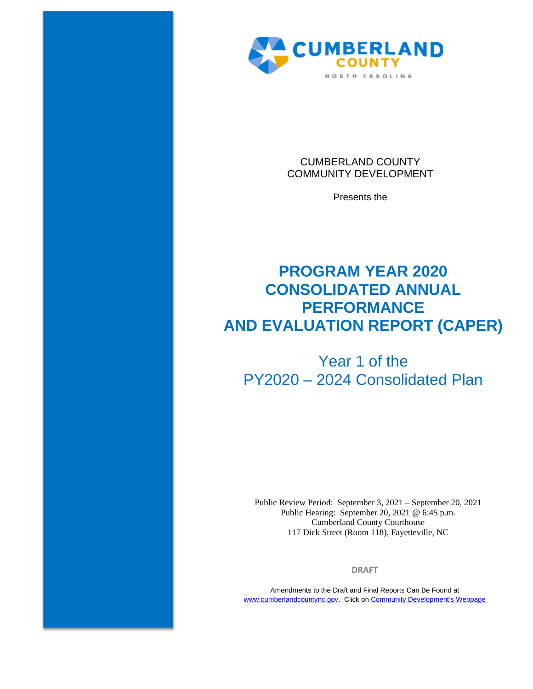

CUMBERLAND COUNTY COMMUNITY DEVELOPMENT

Presents the

# **PROGRAM YEAR 2020 CONSOLIDATED ANNUAL PERFORMANCE AND EVALUATION REPORT (CAPER)**

# Year 1 of the PY2020 – 2024 Consolidated Plan

Public Review Period: September 3, 2021 – September 20, 2021 Public Hearing: September 20, 2021 @ 6:45 p.m. Cumberland County Courthouse 117 Dick Street (Room 118), Fayetteville, NC

**DRAFT**

Amendments to the Draft and Final Reports Can Be Found at [www.cumberlandcountync.gov.](http://www.cumberlandcountync.gov/) Click on [Community Development's Webpage](https://www.cumberlandcountync.gov/departments/community-development-group/community_development/plans-reports/caper)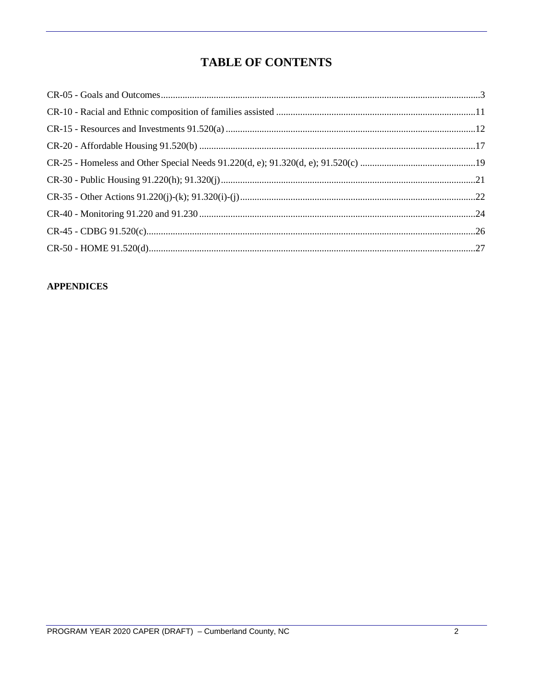## **TABLE OF CONTENTS**

#### **APPENDICES**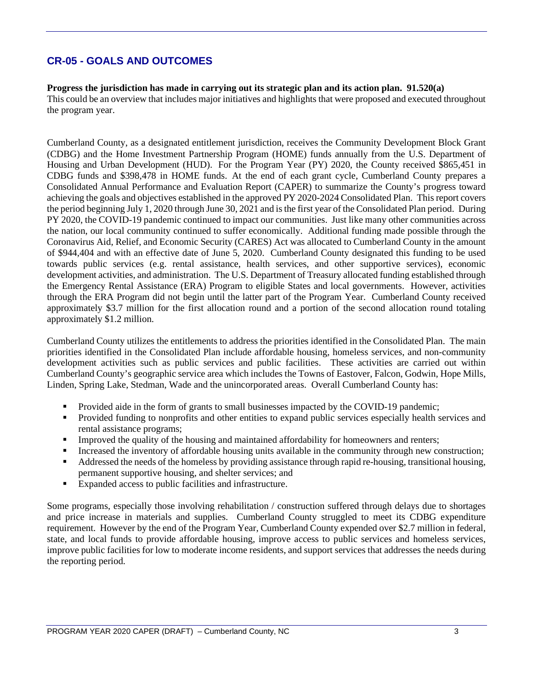## **CR-05 - GOALS AND OUTCOMES**

#### **Progress the jurisdiction has made in carrying out its strategic plan and its action plan. 91.520(a)**

This could be an overview that includes major initiatives and highlights that were proposed and executed throughout the program year.

Cumberland County, as a designated entitlement jurisdiction, receives the Community Development Block Grant (CDBG) and the Home Investment Partnership Program (HOME) funds annually from the U.S. Department of Housing and Urban Development (HUD). For the Program Year (PY) 2020, the County received \$865,451 in CDBG funds and \$398,478 in HOME funds. At the end of each grant cycle, Cumberland County prepares a Consolidated Annual Performance and Evaluation Report (CAPER) to summarize the County's progress toward achieving the goals and objectives established in the approved PY 2020-2024 Consolidated Plan. This report covers the period beginning July 1, 2020 through June 30, 2021 and is the first year of the Consolidated Plan period. During PY 2020, the COVID-19 pandemic continued to impact our communities. Just like many other communities across the nation, our local community continued to suffer economically. Additional funding made possible through the Coronavirus Aid, Relief, and Economic Security (CARES) Act was allocated to Cumberland County in the amount of \$944,404 and with an effective date of June 5, 2020. Cumberland County designated this funding to be used towards public services (e.g. rental assistance, health services, and other supportive services), economic development activities, and administration. The U.S. Department of Treasury allocated funding established through the Emergency Rental Assistance (ERA) Program to eligible States and local governments. However, activities through the ERA Program did not begin until the latter part of the Program Year. Cumberland County received approximately \$3.7 million for the first allocation round and a portion of the second allocation round totaling approximately \$1.2 million.

Cumberland County utilizes the entitlements to address the priorities identified in the Consolidated Plan. The main priorities identified in the Consolidated Plan include affordable housing, homeless services, and non-community development activities such as public services and public facilities. These activities are carried out within Cumberland County's geographic service area which includes the Towns of Eastover, Falcon, Godwin, Hope Mills, Linden, Spring Lake, Stedman, Wade and the unincorporated areas. Overall Cumberland County has:

- Provided aide in the form of grants to small businesses impacted by the COVID-19 pandemic;
- Provided funding to nonprofits and other entities to expand public services especially health services and rental assistance programs;
- **Improved the quality of the housing and maintained affordability for homeowners and renters;**
- Increased the inventory of affordable housing units available in the community through new construction;
- Addressed the needs of the homeless by providing assistance through rapid re-housing, transitional housing, permanent supportive housing, and shelter services; and
- Expanded access to public facilities and infrastructure.

Some programs, especially those involving rehabilitation / construction suffered through delays due to shortages and price increase in materials and supplies. Cumberland County struggled to meet its CDBG expenditure requirement. However by the end of the Program Year, Cumberland County expended over \$2.7 million in federal, state, and local funds to provide affordable housing, improve access to public services and homeless services, improve public facilities for low to moderate income residents, and support services that addresses the needs during the reporting period.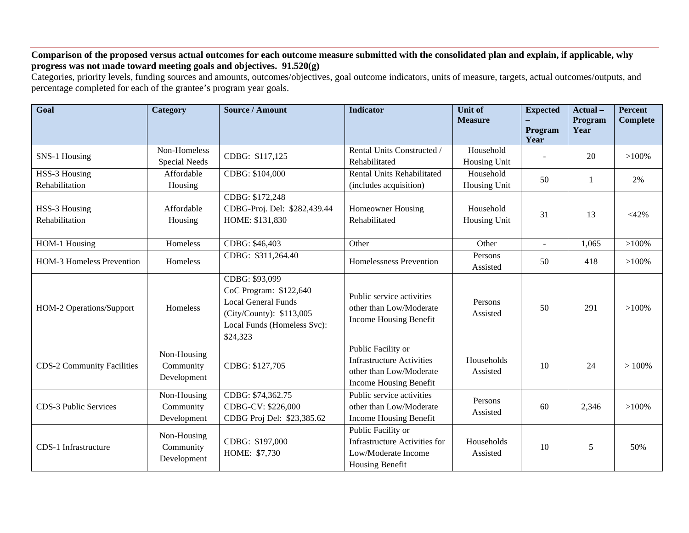#### **Comparison of the proposed versus actual outcomes for each outcome measure submitted with the consolidated plan and explain, if applicable, why progress was not made toward meeting goals and objectives. 91.520(g)**

Categories, priority levels, funding sources and amounts, outcomes/objectives, goal outcome indicators, units of measure, targets, actual outcomes/outputs, and percentage completed for each of the grantee's program year goals.

| Goal                              | <b>Category</b>                         | <b>Source / Amount</b>                                                                                                                        | <b>Indicator</b>                                                                                            | <b>Unit of</b><br><b>Measure</b> | <b>Expected</b><br>Program | Actual-<br>Program<br>Year | <b>Percent</b><br><b>Complete</b> |
|-----------------------------------|-----------------------------------------|-----------------------------------------------------------------------------------------------------------------------------------------------|-------------------------------------------------------------------------------------------------------------|----------------------------------|----------------------------|----------------------------|-----------------------------------|
| SNS-1 Housing                     | Non-Homeless                            | CDBG: \$117,125                                                                                                                               | Rental Units Constructed /                                                                                  | Household                        | Year                       | 20                         | $>100\%$                          |
|                                   | <b>Special Needs</b>                    |                                                                                                                                               | Rehabilitated                                                                                               | Housing Unit                     |                            |                            |                                   |
| HSS-3 Housing                     | Affordable                              | CDBG: \$104,000                                                                                                                               | Rental Units Rehabilitated                                                                                  | Household                        | 50                         | 1                          | 2%                                |
| Rehabilitation                    | Housing                                 |                                                                                                                                               | (includes acquisition)                                                                                      | Housing Unit                     |                            |                            |                                   |
| HSS-3 Housing<br>Rehabilitation   | Affordable<br>Housing                   | CDBG: \$172,248<br>CDBG-Proj. Del: \$282,439.44<br>HOME: \$131,830                                                                            | Homeowner Housing<br>Rehabilitated                                                                          | Household<br>Housing Unit        | 31                         | 13                         | $<$ 42%                           |
| HOM-1 Housing                     | Homeless                                | CDBG: \$46,403                                                                                                                                | Other                                                                                                       | Other                            | $\sim$                     | 1,065                      | $>100\%$                          |
| <b>HOM-3 Homeless Prevention</b>  | Homeless                                | CDBG: \$311,264.40                                                                                                                            | Homelessness Prevention                                                                                     | Persons<br>Assisted              | 50                         | 418                        | $>100\%$                          |
| HOM-2 Operations/Support          | Homeless                                | CDBG: \$93,099<br>CoC Program: \$122,640<br><b>Local General Funds</b><br>(City/County): \$113,005<br>Local Funds (Homeless Svc):<br>\$24,323 | Public service activities<br>other than Low/Moderate<br>Income Housing Benefit                              | Persons<br>Assisted              | 50                         | 291                        | $>100\%$                          |
| <b>CDS-2 Community Facilities</b> | Non-Housing<br>Community<br>Development | CDBG: \$127,705                                                                                                                               | Public Facility or<br><b>Infrastructure Activities</b><br>other than Low/Moderate<br>Income Housing Benefit | Households<br>Assisted           | 10                         | 24                         | >100%                             |
| CDS-3 Public Services             | Non-Housing<br>Community<br>Development | CDBG: \$74,362.75<br>CDBG-CV: \$226,000<br>CDBG Proj Del: \$23,385.62                                                                         | Public service activities<br>other than Low/Moderate<br>Income Housing Benefit                              | Persons<br>Assisted              | 60                         | 2,346                      | $>100\%$                          |
| CDS-1 Infrastructure              | Non-Housing<br>Community<br>Development | CDBG: \$197,000<br>HOME: \$7,730                                                                                                              | Public Facility or<br><b>Infrastructure Activities for</b><br>Low/Moderate Income<br>Housing Benefit        | Households<br>Assisted           | 10                         | 5                          | 50%                               |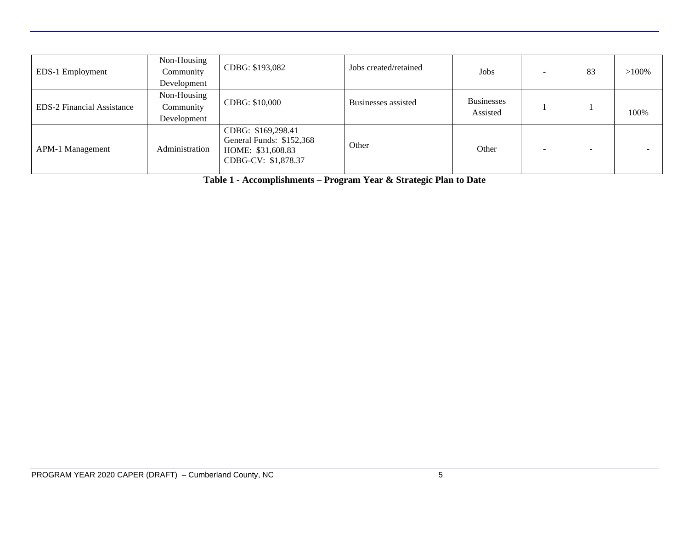| EDS-1 Employment                  | Non-Housing<br>Community<br>Development | CDBG: \$193,082                                                                            | Jobs created/retained | Jobs                          | 83 | $>100\%$ |
|-----------------------------------|-----------------------------------------|--------------------------------------------------------------------------------------------|-----------------------|-------------------------------|----|----------|
| <b>EDS-2 Financial Assistance</b> | Non-Housing<br>Community<br>Development | CDBG: \$10,000                                                                             | Businesses assisted   | <b>Businesses</b><br>Assisted |    | 100%     |
| APM-1 Management                  | Administration                          | CDBG: \$169,298.41<br>General Funds: \$152,368<br>HOME: \$31,608.83<br>CDBG-CV: \$1,878.37 | Other                 | Other                         |    |          |

**Table 1 - Accomplishments – Program Year & Strategic Plan to Date**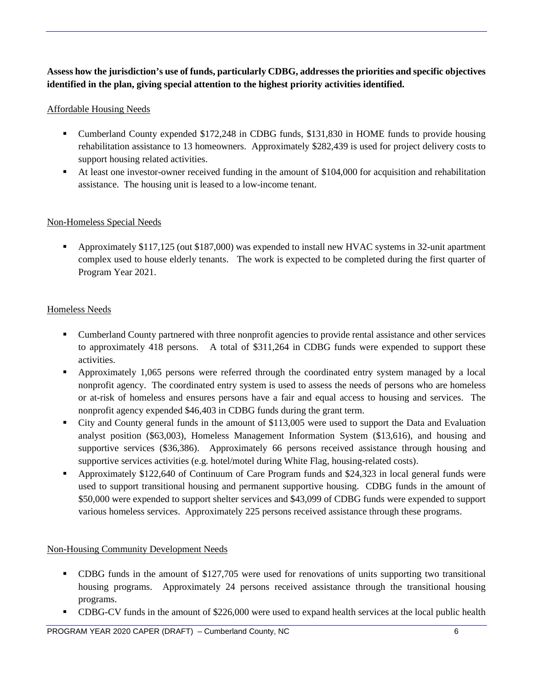### **Assess how the jurisdiction's use of funds, particularly CDBG, addresses the priorities and specific objectives identified in the plan, giving special attention to the highest priority activities identified.**

#### Affordable Housing Needs

- Cumberland County expended \$172,248 in CDBG funds, \$131,830 in HOME funds to provide housing rehabilitation assistance to 13 homeowners. Approximately \$282,439 is used for project delivery costs to support housing related activities.
- At least one investor-owner received funding in the amount of \$104,000 for acquisition and rehabilitation assistance. The housing unit is leased to a low-income tenant.

#### Non-Homeless Special Needs

 Approximately \$117,125 (out \$187,000) was expended to install new HVAC systems in 32-unit apartment complex used to house elderly tenants. The work is expected to be completed during the first quarter of Program Year 2021.

#### Homeless Needs

- Cumberland County partnered with three nonprofit agencies to provide rental assistance and other services to approximately 418 persons. A total of \$311,264 in CDBG funds were expended to support these activities.
- Approximately 1,065 persons were referred through the coordinated entry system managed by a local nonprofit agency. The coordinated entry system is used to assess the needs of persons who are homeless or at-risk of homeless and ensures persons have a fair and equal access to housing and services. The nonprofit agency expended \$46,403 in CDBG funds during the grant term.
- City and County general funds in the amount of \$113,005 were used to support the Data and Evaluation analyst position (\$63,003), Homeless Management Information System (\$13,616), and housing and supportive services (\$36,386). Approximately 66 persons received assistance through housing and supportive services activities (e.g. hotel/motel during White Flag, housing-related costs).
- Approximately \$122,640 of Continuum of Care Program funds and \$24,323 in local general funds were used to support transitional housing and permanent supportive housing. CDBG funds in the amount of \$50,000 were expended to support shelter services and \$43,099 of CDBG funds were expended to support various homeless services. Approximately 225 persons received assistance through these programs.

#### Non-Housing Community Development Needs

- CDBG funds in the amount of \$127,705 were used for renovations of units supporting two transitional housing programs. Approximately 24 persons received assistance through the transitional housing programs.
- CDBG-CV funds in the amount of \$226,000 were used to expand health services at the local public health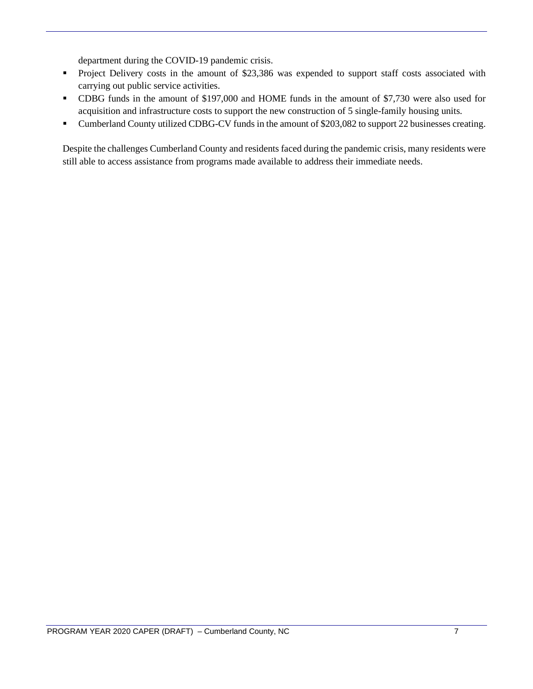department during the COVID-19 pandemic crisis.

- **Project Delivery costs in the amount of \$23,386 was expended to support staff costs associated with** carrying out public service activities.
- CDBG funds in the amount of \$197,000 and HOME funds in the amount of \$7,730 were also used for acquisition and infrastructure costs to support the new construction of 5 single-family housing units.
- Cumberland County utilized CDBG-CV funds in the amount of \$203,082 to support 22 businesses creating.

Despite the challenges Cumberland County and residents faced during the pandemic crisis, many residents were still able to access assistance from programs made available to address their immediate needs.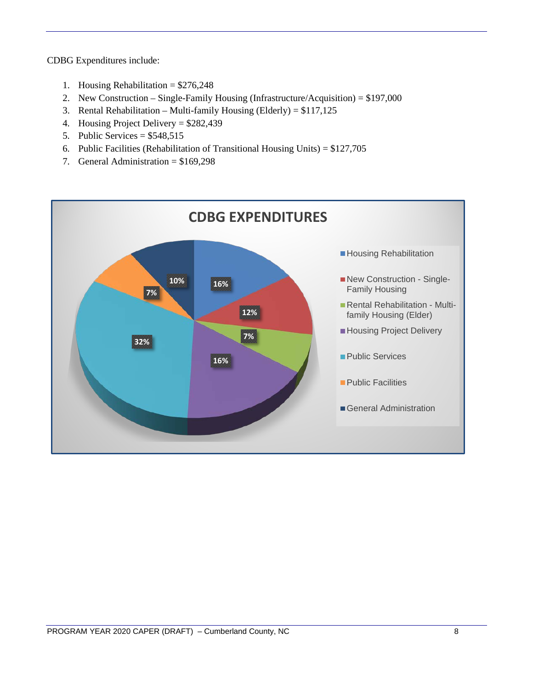CDBG Expenditures include:

- 1. Housing Rehabilitation = \$276,248
- 2. New Construction Single-Family Housing (Infrastructure/Acquisition) = \$197,000
- 3. Rental Rehabilitation Multi-family Housing (Elderly) = \$117,125
- 4. Housing Project Delivery = \$282,439
- 5. Public Services =  $$548,515$
- 6. Public Facilities (Rehabilitation of Transitional Housing Units) = \$127,705
- 7. General Administration = \$169,298

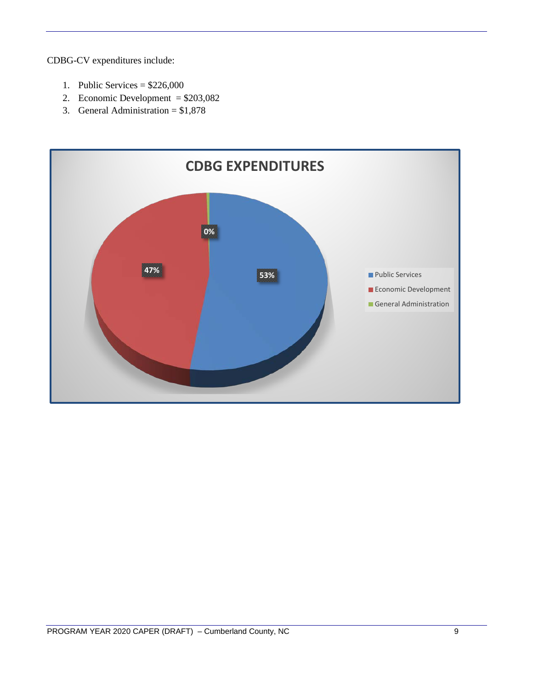CDBG-CV expenditures include:

- 1. Public Services =  $$226,000$
- 2. Economic Development = \$203,082
- 3. General Administration = \$1,878

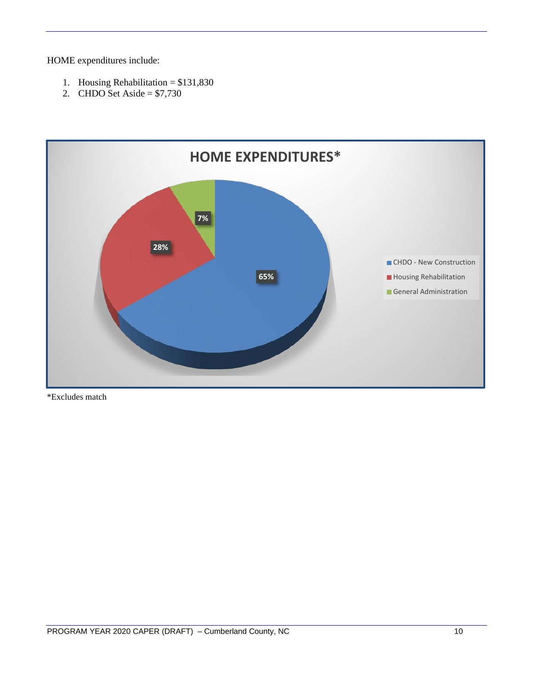HOME expenditures include:

- 1. Housing Rehabilitation = \$131,830
- 2. CHDO Set Aside =  $$7,730$



\*Excludes match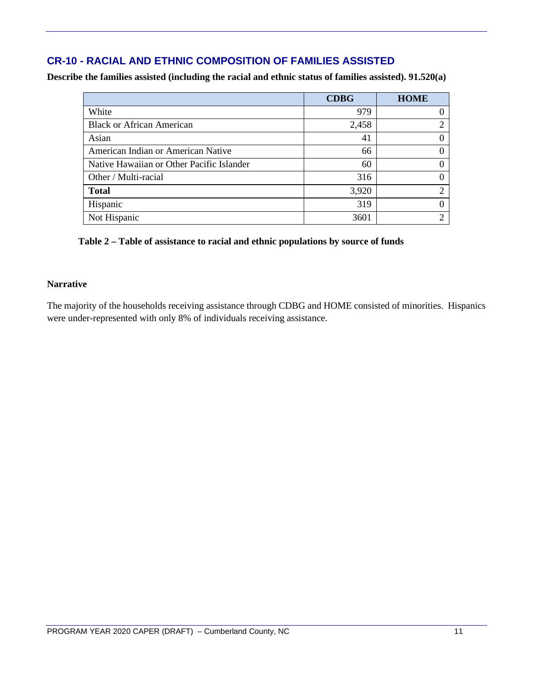## **CR-10 - RACIAL AND ETHNIC COMPOSITION OF FAMILIES ASSISTED**

**Describe the families assisted (including the racial and ethnic status of families assisted). 91.520(a)** 

|                                           | <b>CDBG</b> | <b>HOME</b>                 |
|-------------------------------------------|-------------|-----------------------------|
| White                                     | 979         |                             |
| <b>Black or African American</b>          | 2,458       | $\mathcal{D}_{\mathcal{L}}$ |
| Asian                                     | 41          | $\Omega$                    |
| American Indian or American Native        | 66          | 0                           |
| Native Hawaiian or Other Pacific Islander | 60          | 0                           |
| Other / Multi-racial                      | 316         | ∩                           |
| <b>Total</b>                              | 3,920       | ◠                           |
| Hispanic                                  | 319         | 0                           |
| Not Hispanic                              | 3601        | C                           |

#### **Table 2 – Table of assistance to racial and ethnic populations by source of funds**

#### **Narrative**

The majority of the households receiving assistance through CDBG and HOME consisted of minorities. Hispanics were under-represented with only 8% of individuals receiving assistance.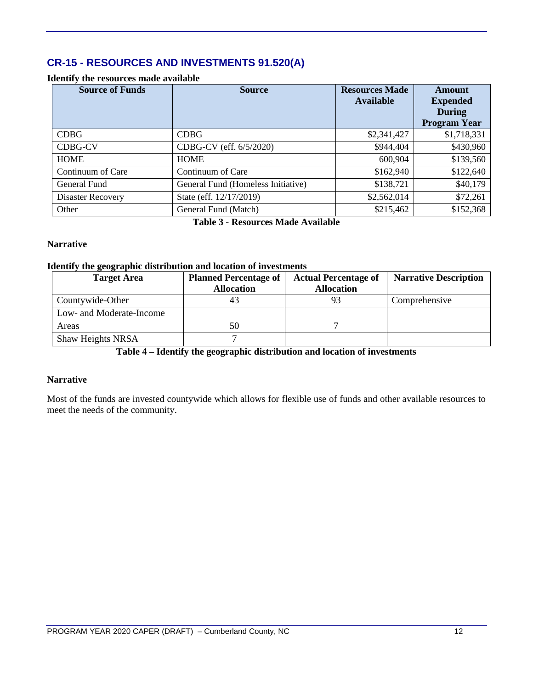## **CR-15 - RESOURCES AND INVESTMENTS 91.520(A)**

#### **Identify the resources made available**

| <b>Source of Funds</b> | <b>Source</b>                      | <b>Resources Made</b><br><b>Available</b> | Amount<br><b>Expended</b><br><b>During</b><br><b>Program Year</b> |
|------------------------|------------------------------------|-------------------------------------------|-------------------------------------------------------------------|
| <b>CDBG</b>            | <b>CDBG</b>                        | \$2,341,427                               | \$1,718,331                                                       |
| <b>CDBG-CV</b>         | CDBG-CV (eff. 6/5/2020)            | \$944,404                                 | \$430,960                                                         |
| <b>HOME</b>            | <b>HOME</b>                        | 600,904                                   | \$139,560                                                         |
| Continuum of Care      | Continuum of Care                  | \$162,940                                 | \$122,640                                                         |
| General Fund           | General Fund (Homeless Initiative) | \$138,721                                 | \$40,179                                                          |
| Disaster Recovery      | State (eff. 12/17/2019)            | \$2,562,014                               | \$72,261                                                          |
| Other                  | General Fund (Match)               | \$215,462                                 | \$152,368                                                         |

**Table 3 - Resources Made Available**

#### **Narrative**

#### **Identify the geographic distribution and location of investments**

| <b>Target Area</b>       | <b>Planned Percentage of</b> | <b>Actual Percentage of</b> | <b>Narrative Description</b> |
|--------------------------|------------------------------|-----------------------------|------------------------------|
|                          | <b>Allocation</b>            | <b>Allocation</b>           |                              |
| Countywide-Other         |                              | 93                          | Comprehensive                |
| Low- and Moderate-Income |                              |                             |                              |
| Areas                    | 50                           |                             |                              |
| <b>Shaw Heights NRSA</b> |                              |                             |                              |

**Table 4 – Identify the geographic distribution and location of investments**

#### **Narrative**

Most of the funds are invested countywide which allows for flexible use of funds and other available resources to meet the needs of the community.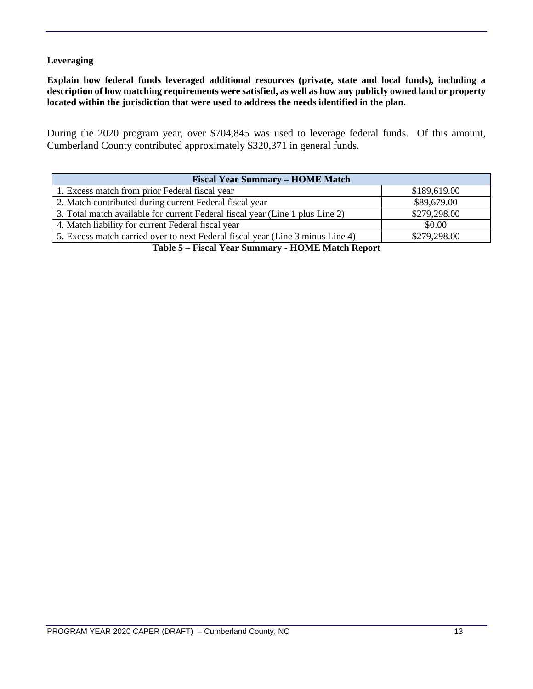#### **Leveraging**

**Explain how federal funds leveraged additional resources (private, state and local funds), including a description of how matching requirements were satisfied, as well as how any publicly owned land or property located within the jurisdiction that were used to address the needs identified in the plan.**

During the 2020 program year, over \$704,845 was used to leverage federal funds. Of this amount, Cumberland County contributed approximately \$320,371 in general funds.

| <b>Fiscal Year Summary – HOME Match</b>                                        |              |  |  |  |  |
|--------------------------------------------------------------------------------|--------------|--|--|--|--|
| 1. Excess match from prior Federal fiscal year                                 | \$189,619.00 |  |  |  |  |
| 2. Match contributed during current Federal fiscal year                        | \$89,679.00  |  |  |  |  |
| 3. Total match available for current Federal fiscal year (Line 1 plus Line 2)  | \$279,298.00 |  |  |  |  |
| 4. Match liability for current Federal fiscal year                             | \$0.00       |  |  |  |  |
| 5. Excess match carried over to next Federal fiscal year (Line 3 minus Line 4) | \$279,298.00 |  |  |  |  |
|                                                                                |              |  |  |  |  |

**Table 5 – Fiscal Year Summary - HOME Match Report**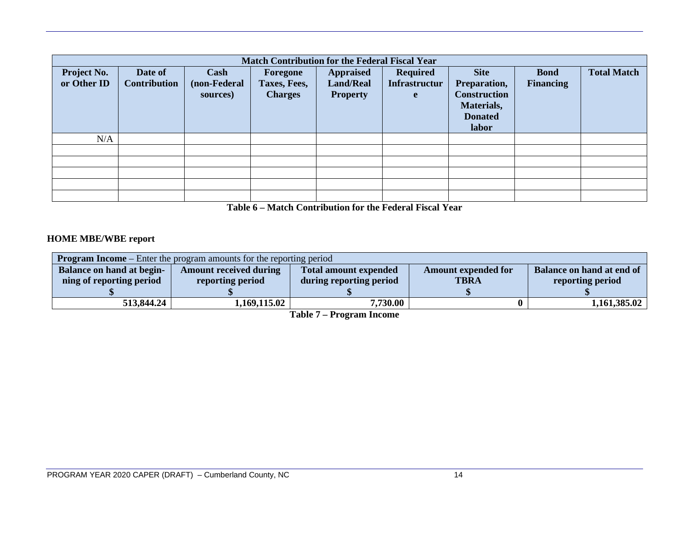| <b>Match Contribution for the Federal Fiscal Year</b> |                                |                                  |                                            |                                                         |                                              |                                                                                             |                                 |                    |
|-------------------------------------------------------|--------------------------------|----------------------------------|--------------------------------------------|---------------------------------------------------------|----------------------------------------------|---------------------------------------------------------------------------------------------|---------------------------------|--------------------|
| <b>Project No.</b><br>or Other ID                     | Date of<br><b>Contribution</b> | Cash<br>(non-Federal<br>sources) | Foregone<br>Taxes, Fees,<br><b>Charges</b> | <b>Appraised</b><br><b>Land/Real</b><br><b>Property</b> | <b>Required</b><br><b>Infrastructur</b><br>e | <b>Site</b><br>Preparation,<br><b>Construction</b><br>Materials,<br><b>Donated</b><br>labor | <b>Bond</b><br><b>Financing</b> | <b>Total Match</b> |
| N/A                                                   |                                |                                  |                                            |                                                         |                                              |                                                                                             |                                 |                    |
|                                                       |                                |                                  |                                            |                                                         |                                              |                                                                                             |                                 |                    |
|                                                       |                                |                                  |                                            |                                                         |                                              |                                                                                             |                                 |                    |
|                                                       |                                |                                  |                                            |                                                         |                                              |                                                                                             |                                 |                    |
|                                                       |                                |                                  |                                            |                                                         |                                              |                                                                                             |                                 |                    |
|                                                       |                                |                                  |                                            |                                                         |                                              |                                                                                             |                                 |                    |

**Table 6 – Match Contribution for the Federal Fiscal Year**

#### **HOME MBE/WBE report**

| <b>Program Income</b> – Enter the program amounts for the reporting period |                               |                              |                            |                           |  |  |  |
|----------------------------------------------------------------------------|-------------------------------|------------------------------|----------------------------|---------------------------|--|--|--|
| Balance on hand at begin-                                                  | <b>Amount received during</b> | <b>Total amount expended</b> | <b>Amount expended for</b> | Balance on hand at end of |  |  |  |
| ning of reporting period                                                   | reporting period              | during reporting period      | <b>TBRA</b>                | reporting period          |  |  |  |
|                                                                            |                               |                              |                            |                           |  |  |  |
| 513,844.24                                                                 | 1,169,115.02                  | 7,730.00                     |                            | 1,161,385.02              |  |  |  |

**Table 7 – Program Income**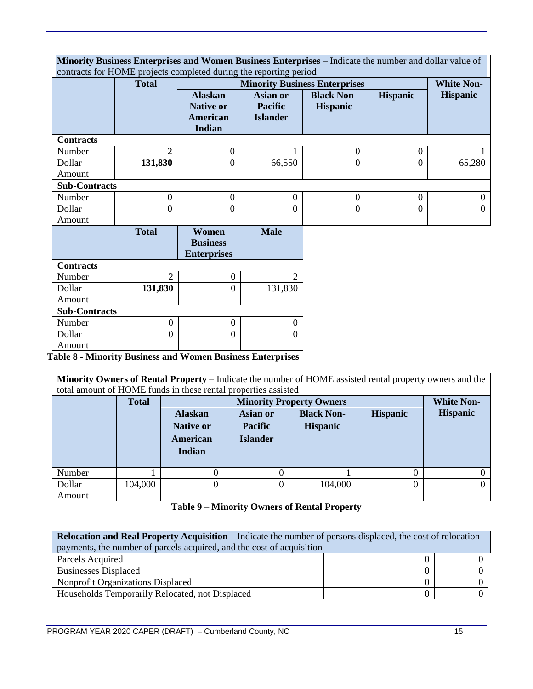|                      | Minority Business Enterprises and Women Business Enterprises - Indicate the number and dollar value of<br>contracts for HOME projects completed during the reporting period |                                                                        |                                                      |                                      |                 |                   |
|----------------------|-----------------------------------------------------------------------------------------------------------------------------------------------------------------------------|------------------------------------------------------------------------|------------------------------------------------------|--------------------------------------|-----------------|-------------------|
|                      | <b>Total</b>                                                                                                                                                                |                                                                        |                                                      | <b>Minority Business Enterprises</b> |                 | <b>White Non-</b> |
|                      |                                                                                                                                                                             | <b>Alaskan</b><br><b>Native or</b><br><b>American</b><br><b>Indian</b> | <b>Asian or</b><br><b>Pacific</b><br><b>Islander</b> | <b>Black Non-</b><br><b>Hispanic</b> | <b>Hispanic</b> | <b>Hispanic</b>   |
| <b>Contracts</b>     |                                                                                                                                                                             |                                                                        |                                                      |                                      |                 |                   |
| Number               | $\overline{2}$                                                                                                                                                              | $\mathbf{0}$                                                           |                                                      | $\boldsymbol{0}$                     | $\overline{0}$  |                   |
| Dollar               | 131,830                                                                                                                                                                     | $\overline{0}$                                                         | 66,550                                               | $\overline{0}$                       | $\overline{0}$  | 65,280            |
| Amount               |                                                                                                                                                                             |                                                                        |                                                      |                                      |                 |                   |
| <b>Sub-Contracts</b> |                                                                                                                                                                             |                                                                        |                                                      |                                      |                 |                   |
| Number               | $\boldsymbol{0}$                                                                                                                                                            | $\overline{0}$                                                         | $\theta$                                             | $\overline{0}$                       | $\overline{0}$  | $\Omega$          |
| Dollar               | $\boldsymbol{0}$                                                                                                                                                            | $\overline{0}$                                                         | $\Omega$                                             | $\overline{0}$                       | $\theta$        | $\Omega$          |
| Amount               |                                                                                                                                                                             |                                                                        |                                                      |                                      |                 |                   |
|                      | <b>Total</b>                                                                                                                                                                | Women<br><b>Business</b><br><b>Enterprises</b>                         | <b>Male</b>                                          |                                      |                 |                   |
| <b>Contracts</b>     |                                                                                                                                                                             |                                                                        |                                                      |                                      |                 |                   |
| Number               | $\overline{2}$                                                                                                                                                              | $\mathbf{0}$                                                           | $\overline{2}$                                       |                                      |                 |                   |
| Dollar               | 131,830                                                                                                                                                                     | $\overline{0}$                                                         | 131,830                                              |                                      |                 |                   |
| Amount               |                                                                                                                                                                             |                                                                        |                                                      |                                      |                 |                   |
| <b>Sub-Contracts</b> |                                                                                                                                                                             |                                                                        |                                                      |                                      |                 |                   |
| Number               | $\mathbf{0}$                                                                                                                                                                | $\mathbf{0}$                                                           | $\boldsymbol{0}$                                     |                                      |                 |                   |
| Dollar               | $\overline{0}$                                                                                                                                                              | $\Omega$                                                               | 0                                                    |                                      |                 |                   |
| Amount               |                                                                                                                                                                             |                                                                        |                                                      |                                      |                 |                   |

**Table 8 - Minority Business and Women Business Enterprises**

**Minority Owners of Rental Property** – Indicate the number of HOME assisted rental property owners and the total amount of HOME funds in these rental properties assisted

|        | <b>Total</b> |                                                                 |                                                      | <b>Minority Property Owners</b>      |                 | <b>White Non-</b> |
|--------|--------------|-----------------------------------------------------------------|------------------------------------------------------|--------------------------------------|-----------------|-------------------|
|        |              | <b>Alaskan</b><br><b>Native or</b><br><b>American</b><br>Indian | <b>Asian or</b><br><b>Pacific</b><br><b>Islander</b> | <b>Black Non-</b><br><b>Hispanic</b> | <b>Hispanic</b> | <b>Hispanic</b>   |
| Number |              | 0                                                               |                                                      |                                      |                 |                   |
| Dollar | 104,000      | 0                                                               | 0                                                    | 104,000                              | 0               |                   |
| Amount |              |                                                                 |                                                      |                                      |                 |                   |

**Table 9 – Minority Owners of Rental Property**

| <b>Relocation and Real Property Acquisition – Indicate the number of persons displaced, the cost of relocation</b> |  |  |  |  |  |  |
|--------------------------------------------------------------------------------------------------------------------|--|--|--|--|--|--|
| payments, the number of parcels acquired, and the cost of acquisition                                              |  |  |  |  |  |  |
| Parcels Acquired                                                                                                   |  |  |  |  |  |  |
| <b>Businesses Displaced</b>                                                                                        |  |  |  |  |  |  |
| Nonprofit Organizations Displaced                                                                                  |  |  |  |  |  |  |
| Households Temporarily Relocated, not Displaced                                                                    |  |  |  |  |  |  |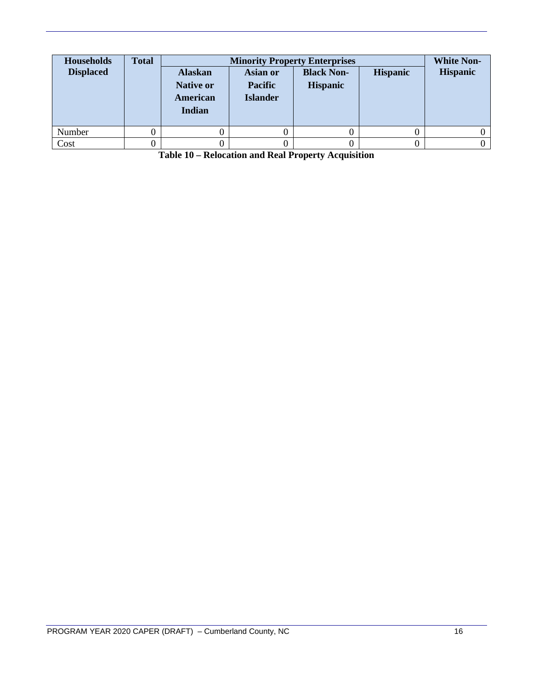| <b>Households</b><br><b>Displaced</b> | <b>Total</b> | <b>Alaskan</b><br><b>Native or</b><br>American<br>Indian | <b>Asian or</b><br><b>Pacific</b><br><b>Islander</b> | <b>Minority Property Enterprises</b><br><b>Black Non-</b><br><b>Hispanic</b> | <b>Hispanic</b> | <b>White Non-</b><br><b>Hispanic</b> |
|---------------------------------------|--------------|----------------------------------------------------------|------------------------------------------------------|------------------------------------------------------------------------------|-----------------|--------------------------------------|
| Number                                |              |                                                          |                                                      |                                                                              |                 |                                      |
| Cost                                  |              |                                                          |                                                      |                                                                              |                 |                                      |

**Table 10 – Relocation and Real Property Acquisition**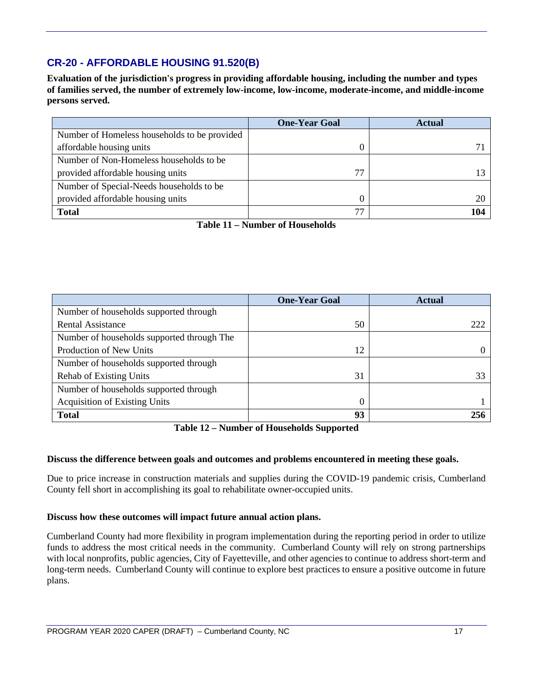## **CR-20 - AFFORDABLE HOUSING 91.520(B)**

**Evaluation of the jurisdiction's progress in providing affordable housing, including the number and types of families served, the number of extremely low-income, low-income, moderate-income, and middle-income persons served.**

|                                              | <b>One-Year Goal</b> | <b>Actual</b> |
|----------------------------------------------|----------------------|---------------|
| Number of Homeless households to be provided |                      |               |
| affordable housing units                     |                      |               |
| Number of Non-Homeless households to be      |                      |               |
| provided affordable housing units            | 77                   |               |
| Number of Special-Needs households to be     |                      |               |
| provided affordable housing units            |                      |               |
| <b>Total</b>                                 |                      | 104           |

**Table 11 – Number of Households**

|                                            | <b>One-Year Goal</b> | <b>Actual</b> |
|--------------------------------------------|----------------------|---------------|
| Number of households supported through     |                      |               |
| <b>Rental Assistance</b>                   | 50                   | 222           |
| Number of households supported through The |                      |               |
| Production of New Units                    | 12                   |               |
| Number of households supported through     |                      |               |
| <b>Rehab of Existing Units</b>             | 31                   | 33            |
| Number of households supported through     |                      |               |
| <b>Acquisition of Existing Units</b>       | $\Omega$             |               |
| <b>Total</b>                               | 93                   | 256           |

**Table 12 – Number of Households Supported**

#### **Discuss the difference between goals and outcomes and problems encountered in meeting these goals.**

Due to price increase in construction materials and supplies during the COVID-19 pandemic crisis, Cumberland County fell short in accomplishing its goal to rehabilitate owner-occupied units.

#### **Discuss how these outcomes will impact future annual action plans.**

Cumberland County had more flexibility in program implementation during the reporting period in order to utilize funds to address the most critical needs in the community. Cumberland County will rely on strong partnerships with local nonprofits, public agencies, City of Fayetteville, and other agencies to continue to address short-term and long-term needs. Cumberland County will continue to explore best practices to ensure a positive outcome in future plans.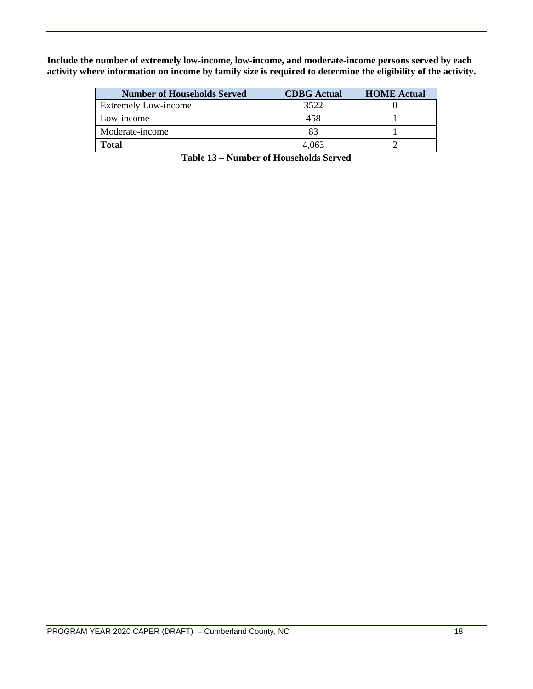**Include the number of extremely low-income, low-income, and moderate-income persons served by each activity where information on income by family size is required to determine the eligibility of the activity.**

| <b>Number of Households Served</b> | <b>CDBG</b> Actual | <b>HOME</b> Actual |
|------------------------------------|--------------------|--------------------|
| <b>Extremely Low-income</b>        | 3522               |                    |
| Low-income                         | 458                |                    |
| Moderate-income                    | 83                 |                    |
| <b>Total</b>                       | 4.063              |                    |

**Table 13 – Number of Households Served**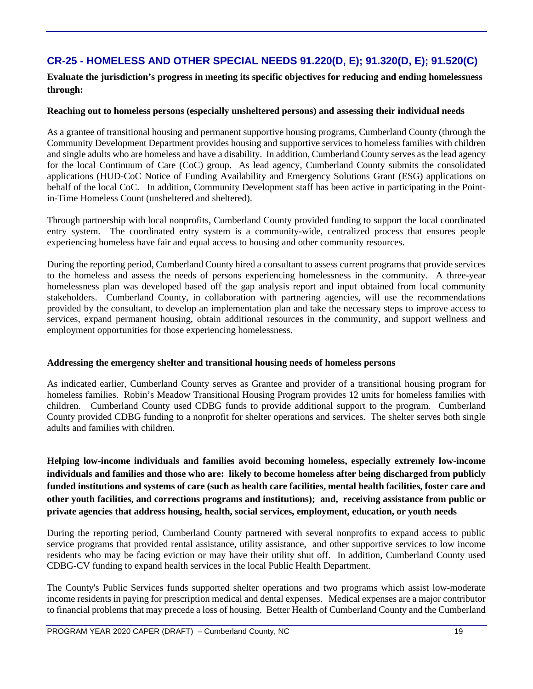## **CR-25 - HOMELESS AND OTHER SPECIAL NEEDS 91.220(D, E); 91.320(D, E); 91.520(C)**

**Evaluate the jurisdiction's progress in meeting its specific objectives for reducing and ending homelessness through:**

#### **Reaching out to homeless persons (especially unsheltered persons) and assessing their individual needs**

As a grantee of transitional housing and permanent supportive housing programs, Cumberland County (through the Community Development Department provides housing and supportive services to homeless families with children and single adults who are homeless and have a disability. In addition, Cumberland County serves as the lead agency for the local Continuum of Care (CoC) group. As lead agency, Cumberland County submits the consolidated applications (HUD-CoC Notice of Funding Availability and Emergency Solutions Grant (ESG) applications on behalf of the local CoC. In addition, Community Development staff has been active in participating in the Pointin-Time Homeless Count (unsheltered and sheltered).

Through partnership with local nonprofits, Cumberland County provided funding to support the local coordinated entry system. The coordinated entry system is a community-wide, centralized process that ensures people experiencing homeless have fair and equal access to housing and other community resources.

During the reporting period, Cumberland County hired a consultant to assess current programs that provide services to the homeless and assess the needs of persons experiencing homelessness in the community. A three-year homelessness plan was developed based off the gap analysis report and input obtained from local community stakeholders. Cumberland County, in collaboration with partnering agencies, will use the recommendations provided by the consultant, to develop an implementation plan and take the necessary steps to improve access to services, expand permanent housing, obtain additional resources in the community, and support wellness and employment opportunities for those experiencing homelessness.

#### **Addressing the emergency shelter and transitional housing needs of homeless persons**

As indicated earlier, Cumberland County serves as Grantee and provider of a transitional housing program for homeless families. Robin's Meadow Transitional Housing Program provides 12 units for homeless families with children. Cumberland County used CDBG funds to provide additional support to the program. Cumberland County provided CDBG funding to a nonprofit for shelter operations and services. The shelter serves both single adults and families with children.

**Helping low-income individuals and families avoid becoming homeless, especially extremely low-income individuals and families and those who are: likely to become homeless after being discharged from publicly funded institutions and systems of care (such as health care facilities, mental health facilities, foster care and other youth facilities, and corrections programs and institutions); and, receiving assistance from public or private agencies that address housing, health, social services, employment, education, or youth needs**

During the reporting period, Cumberland County partnered with several nonprofits to expand access to public service programs that provided rental assistance, utility assistance, and other supportive services to low income residents who may be facing eviction or may have their utility shut off. In addition, Cumberland County used CDBG-CV funding to expand health services in the local Public Health Department.

The County's Public Services funds supported shelter operations and two programs which assist low-moderate income residents in paying for prescription medical and dental expenses. Medical expenses are a major contributor to financial problems that may precede a loss of housing. Better Health of Cumberland County and the Cumberland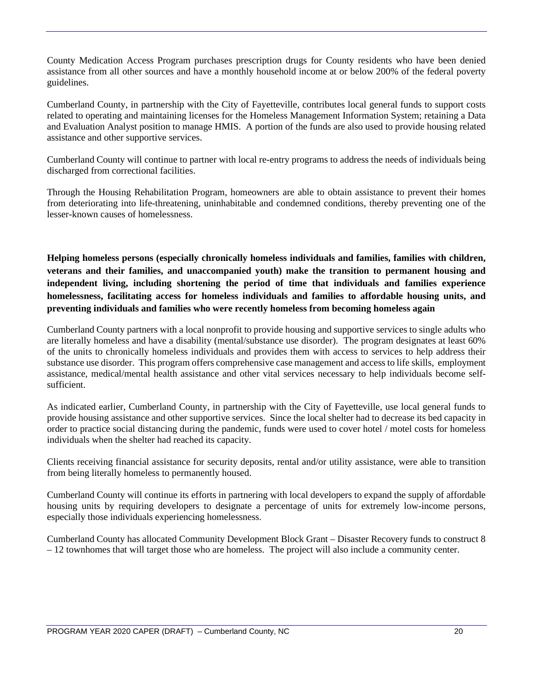County Medication Access Program purchases prescription drugs for County residents who have been denied assistance from all other sources and have a monthly household income at or below 200% of the federal poverty guidelines.

Cumberland County, in partnership with the City of Fayetteville, contributes local general funds to support costs related to operating and maintaining licenses for the Homeless Management Information System; retaining a Data and Evaluation Analyst position to manage HMIS. A portion of the funds are also used to provide housing related assistance and other supportive services.

Cumberland County will continue to partner with local re-entry programs to address the needs of individuals being discharged from correctional facilities.

Through the Housing Rehabilitation Program, homeowners are able to obtain assistance to prevent their homes from deteriorating into life-threatening, uninhabitable and condemned conditions, thereby preventing one of the lesser-known causes of homelessness.

**Helping homeless persons (especially chronically homeless individuals and families, families with children, veterans and their families, and unaccompanied youth) make the transition to permanent housing and independent living, including shortening the period of time that individuals and families experience homelessness, facilitating access for homeless individuals and families to affordable housing units, and preventing individuals and families who were recently homeless from becoming homeless again**

Cumberland County partners with a local nonprofit to provide housing and supportive services to single adults who are literally homeless and have a disability (mental/substance use disorder). The program designates at least 60% of the units to chronically homeless individuals and provides them with access to services to help address their substance use disorder. This program offers comprehensive case management and access to life skills, employment assistance, medical/mental health assistance and other vital services necessary to help individuals become selfsufficient.

As indicated earlier, Cumberland County, in partnership with the City of Fayetteville, use local general funds to provide housing assistance and other supportive services. Since the local shelter had to decrease its bed capacity in order to practice social distancing during the pandemic, funds were used to cover hotel / motel costs for homeless individuals when the shelter had reached its capacity.

Clients receiving financial assistance for security deposits, rental and/or utility assistance, were able to transition from being literally homeless to permanently housed.

Cumberland County will continue its efforts in partnering with local developers to expand the supply of affordable housing units by requiring developers to designate a percentage of units for extremely low-income persons, especially those individuals experiencing homelessness.

Cumberland County has allocated Community Development Block Grant – Disaster Recovery funds to construct 8 – 12 townhomes that will target those who are homeless. The project will also include a community center.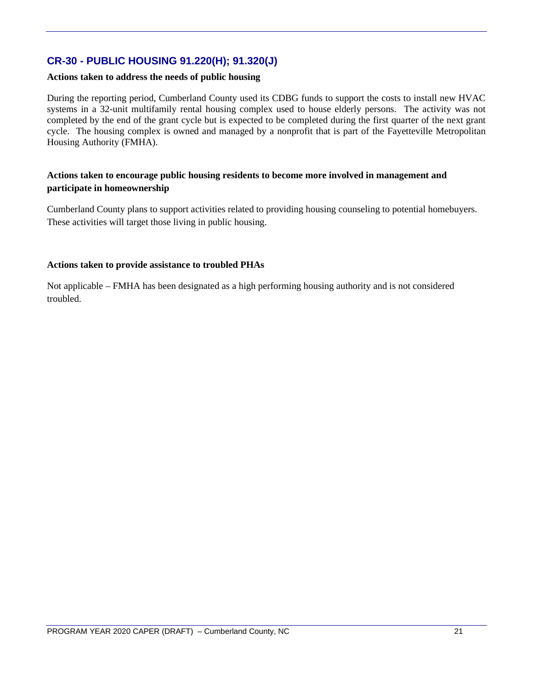## **CR-30 - PUBLIC HOUSING 91.220(H); 91.320(J)**

#### **Actions taken to address the needs of public housing**

During the reporting period, Cumberland County used its CDBG funds to support the costs to install new HVAC systems in a 32-unit multifamily rental housing complex used to house elderly persons. The activity was not completed by the end of the grant cycle but is expected to be completed during the first quarter of the next grant cycle. The housing complex is owned and managed by a nonprofit that is part of the Fayetteville Metropolitan Housing Authority (FMHA).

#### **Actions taken to encourage public housing residents to become more involved in management and participate in homeownership**

Cumberland County plans to support activities related to providing housing counseling to potential homebuyers. These activities will target those living in public housing.

#### **Actions taken to provide assistance to troubled PHAs**

Not applicable – FMHA has been designated as a high performing housing authority and is not considered troubled.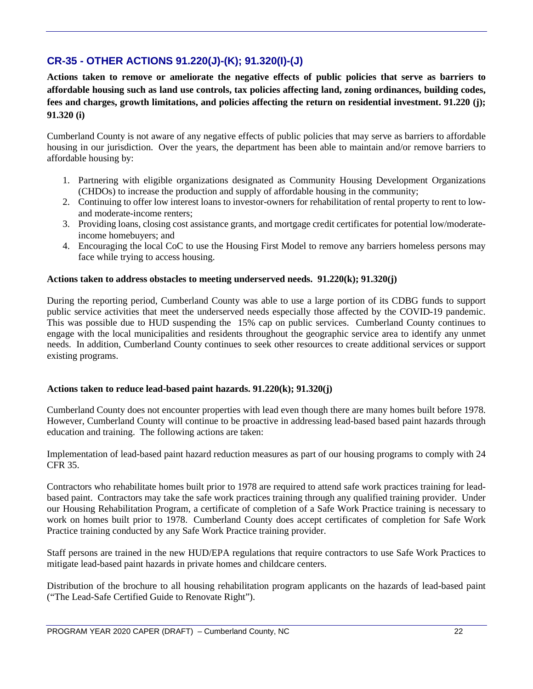## **CR-35 - OTHER ACTIONS 91.220(J)-(K); 91.320(I)-(J)**

**Actions taken to remove or ameliorate the negative effects of public policies that serve as barriers to affordable housing such as land use controls, tax policies affecting land, zoning ordinances, building codes, fees and charges, growth limitations, and policies affecting the return on residential investment. 91.220 (j); 91.320 (i)**

Cumberland County is not aware of any negative effects of public policies that may serve as barriers to affordable housing in our jurisdiction. Over the years, the department has been able to maintain and/or remove barriers to affordable housing by:

- 1. Partnering with eligible organizations designated as Community Housing Development Organizations (CHDOs) to increase the production and supply of affordable housing in the community;
- 2. Continuing to offer low interest loans to investor-owners for rehabilitation of rental property to rent to lowand moderate-income renters;
- 3. Providing loans, closing cost assistance grants, and mortgage credit certificates for potential low/moderateincome homebuyers; and
- 4. Encouraging the local CoC to use the Housing First Model to remove any barriers homeless persons may face while trying to access housing.

#### **Actions taken to address obstacles to meeting underserved needs. 91.220(k); 91.320(j)**

During the reporting period, Cumberland County was able to use a large portion of its CDBG funds to support public service activities that meet the underserved needs especially those affected by the COVID-19 pandemic. This was possible due to HUD suspending the 15% cap on public services. Cumberland County continues to engage with the local municipalities and residents throughout the geographic service area to identify any unmet needs. In addition, Cumberland County continues to seek other resources to create additional services or support existing programs.

#### **Actions taken to reduce lead-based paint hazards. 91.220(k); 91.320(j)**

Cumberland County does not encounter properties with lead even though there are many homes built before 1978. However, Cumberland County will continue to be proactive in addressing lead-based based paint hazards through education and training. The following actions are taken:

Implementation of lead-based paint hazard reduction measures as part of our housing programs to comply with 24 CFR 35.

Contractors who rehabilitate homes built prior to 1978 are required to attend safe work practices training for leadbased paint. Contractors may take the safe work practices training through any qualified training provider. Under our Housing Rehabilitation Program, a certificate of completion of a Safe Work Practice training is necessary to work on homes built prior to 1978. Cumberland County does accept certificates of completion for Safe Work Practice training conducted by any Safe Work Practice training provider.

Staff persons are trained in the new HUD/EPA regulations that require contractors to use Safe Work Practices to mitigate lead-based paint hazards in private homes and childcare centers.

Distribution of the brochure to all housing rehabilitation program applicants on the hazards of lead-based paint ("The Lead-Safe Certified Guide to Renovate Right").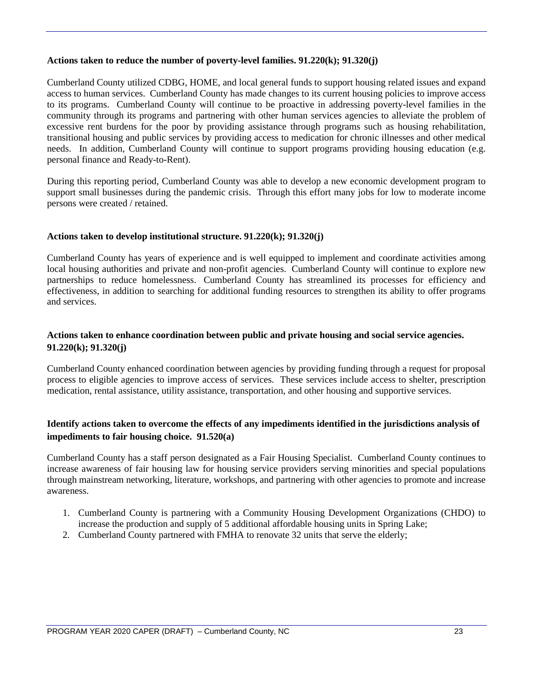#### **Actions taken to reduce the number of poverty-level families. 91.220(k); 91.320(j)**

Cumberland County utilized CDBG, HOME, and local general funds to support housing related issues and expand access to human services. Cumberland County has made changes to its current housing policies to improve access to its programs. Cumberland County will continue to be proactive in addressing poverty-level families in the community through its programs and partnering with other human services agencies to alleviate the problem of excessive rent burdens for the poor by providing assistance through programs such as housing rehabilitation, transitional housing and public services by providing access to medication for chronic illnesses and other medical needs. In addition, Cumberland County will continue to support programs providing housing education (e.g. personal finance and Ready-to-Rent).

During this reporting period, Cumberland County was able to develop a new economic development program to support small businesses during the pandemic crisis. Through this effort many jobs for low to moderate income persons were created / retained.

#### **Actions taken to develop institutional structure. 91.220(k); 91.320(j)**

Cumberland County has years of experience and is well equipped to implement and coordinate activities among local housing authorities and private and non-profit agencies. Cumberland County will continue to explore new partnerships to reduce homelessness. Cumberland County has streamlined its processes for efficiency and effectiveness, in addition to searching for additional funding resources to strengthen its ability to offer programs and services.

#### **Actions taken to enhance coordination between public and private housing and social service agencies. 91.220(k); 91.320(j)**

Cumberland County enhanced coordination between agencies by providing funding through a request for proposal process to eligible agencies to improve access of services. These services include access to shelter, prescription medication, rental assistance, utility assistance, transportation, and other housing and supportive services.

#### **Identify actions taken to overcome the effects of any impediments identified in the jurisdictions analysis of impediments to fair housing choice. 91.520(a)**

Cumberland County has a staff person designated as a Fair Housing Specialist. Cumberland County continues to increase awareness of fair housing law for housing service providers serving minorities and special populations through mainstream networking, literature, workshops, and partnering with other agencies to promote and increase awareness.

- 1. Cumberland County is partnering with a Community Housing Development Organizations (CHDO) to increase the production and supply of 5 additional affordable housing units in Spring Lake;
- 2. Cumberland County partnered with FMHA to renovate 32 units that serve the elderly;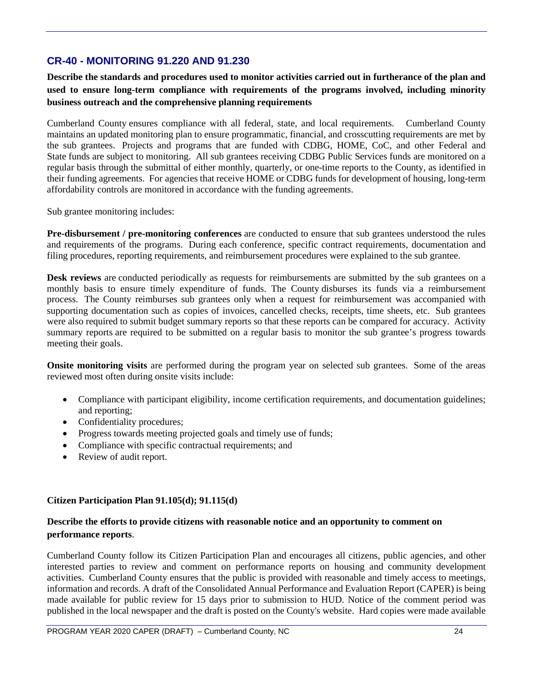## **CR-40 - MONITORING 91.220 AND 91.230**

**Describe the standards and procedures used to monitor activities carried out in furtherance of the plan and used to ensure long-term compliance with requirements of the programs involved, including minority business outreach and the comprehensive planning requirements**

Cumberland County ensures compliance with all federal, state, and local requirements. Cumberland County maintains an updated monitoring plan to ensure programmatic, financial, and crosscutting requirements are met by the sub grantees. Projects and programs that are funded with CDBG, HOME, CoC, and other Federal and State funds are subject to monitoring. All sub grantees receiving CDBG Public Services funds are monitored on a regular basis through the submittal of either monthly, quarterly, or one-time reports to the County, as identified in their funding agreements. For agencies that receive HOME or CDBG funds for development of housing, long-term affordability controls are monitored in accordance with the funding agreements.

Sub grantee monitoring includes:

**Pre-disbursement / pre-monitoring conferences** are conducted to ensure that sub grantees understood the rules and requirements of the programs. During each conference, specific contract requirements, documentation and filing procedures, reporting requirements, and reimbursement procedures were explained to the sub grantee.

**Desk reviews** are conducted periodically as requests for reimbursements are submitted by the sub grantees on a monthly basis to ensure timely expenditure of funds. The County disburses its funds via a reimbursement process. The County reimburses sub grantees only when a request for reimbursement was accompanied with supporting documentation such as copies of invoices, cancelled checks, receipts, time sheets, etc. Sub grantees were also required to submit budget summary reports so that these reports can be compared for accuracy. Activity summary reports are required to be submitted on a regular basis to monitor the sub grantee's progress towards meeting their goals.

**Onsite monitoring visits** are performed during the program year on selected sub grantees. Some of the areas reviewed most often during onsite visits include:

- Compliance with participant eligibility, income certification requirements, and documentation guidelines; and reporting;
- Confidentiality procedures;
- Progress towards meeting projected goals and timely use of funds;
- Compliance with specific contractual requirements; and
- Review of audit report.

#### **Citizen Participation Plan 91.105(d); 91.115(d)**

#### **Describe the efforts to provide citizens with reasonable notice and an opportunity to comment on performance reports**.

Cumberland County follow its Citizen Participation Plan and encourages all citizens, public agencies, and other interested parties to review and comment on performance reports on housing and community development activities. Cumberland County ensures that the public is provided with reasonable and timely access to meetings, information and records. A draft of the Consolidated Annual Performance and Evaluation Report (CAPER) is being made available for public review for 15 days prior to submission to HUD. Notice of the comment period was published in the local newspaper and the draft is posted on the County's website. Hard copies were made available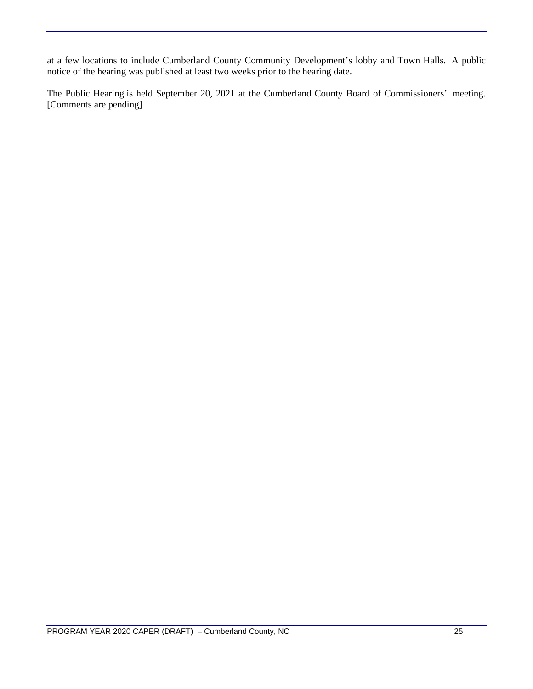at a few locations to include Cumberland County Community Development's lobby and Town Halls. A public notice of the hearing was published at least two weeks prior to the hearing date.

The Public Hearing is held September 20, 2021 at the Cumberland County Board of Commissioners'' meeting. [Comments are pending]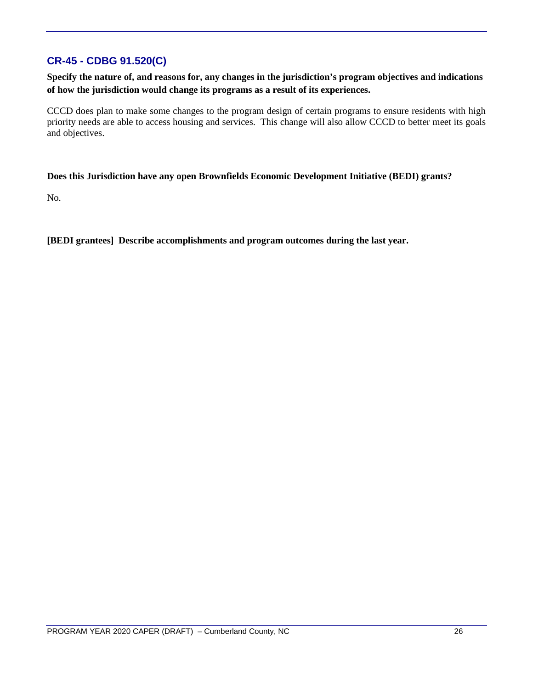## **CR-45 - CDBG 91.520(C)**

**Specify the nature of, and reasons for, any changes in the jurisdiction's program objectives and indications of how the jurisdiction would change its programs as a result of its experiences.**

CCCD does plan to make some changes to the program design of certain programs to ensure residents with high priority needs are able to access housing and services. This change will also allow CCCD to better meet its goals and objectives.

#### **Does this Jurisdiction have any open Brownfields Economic Development Initiative (BEDI) grants?**

No.

**[BEDI grantees] Describe accomplishments and program outcomes during the last year.**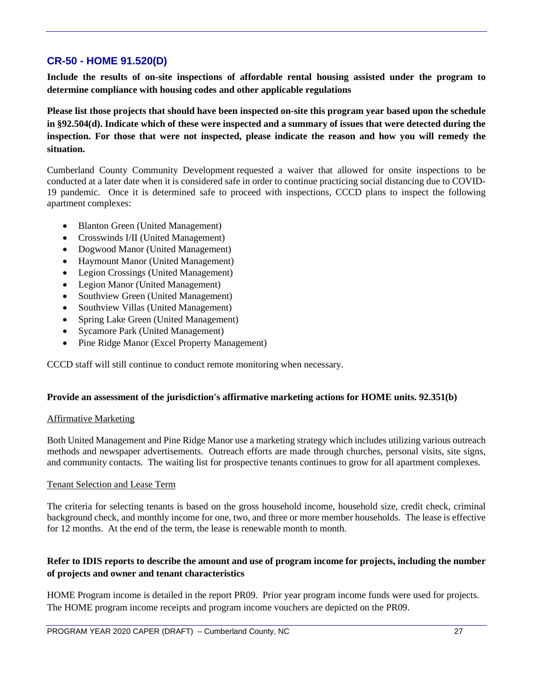## **CR-50 - HOME 91.520(D)**

**Include the results of on-site inspections of affordable rental housing assisted under the program to determine compliance with housing codes and other applicable regulations** 

**Please list those projects that should have been inspected on-site this program year based upon the schedule in §92.504(d). Indicate which of these were inspected and a summary of issues that were detected during the inspection. For those that were not inspected, please indicate the reason and how you will remedy the situation.**

Cumberland County Community Development requested a waiver that allowed for onsite inspections to be conducted at a later date when it is considered safe in order to continue practicing social distancing due to COVID-19 pandemic. Once it is determined safe to proceed with inspections, CCCD plans to inspect the following apartment complexes:

- Blanton Green (United Management)
- Crosswinds I/II (United Management)
- Dogwood Manor (United Management)
- Haymount Manor (United Management)
- Legion Crossings (United Management)
- Legion Manor (United Management)
- Southview Green (United Management)
- Southview Villas (United Management)
- Spring Lake Green (United Management)
- Sycamore Park (United Management)
- Pine Ridge Manor (Excel Property Management)

CCCD staff will still continue to conduct remote monitoring when necessary.

#### **Provide an assessment of the jurisdiction's affirmative marketing actions for HOME units. 92.351(b)**

#### Affirmative Marketing

Both United Management and Pine Ridge Manor use a marketing strategy which includes utilizing various outreach methods and newspaper advertisements. Outreach efforts are made through churches, personal visits, site signs, and community contacts. The waiting list for prospective tenants continues to grow for all apartment complexes.

#### Tenant Selection and Lease Term

The criteria for selecting tenants is based on the gross household income, household size, credit check, criminal background check, and monthly income for one, two, and three or more member households. The lease is effective for 12 months. At the end of the term, the lease is renewable month to month.

#### **Refer to IDIS reports to describe the amount and use of program income for projects, including the number of projects and owner and tenant characteristics**

HOME Program income is detailed in the report PR09. Prior year program income funds were used for projects. The HOME program income receipts and program income vouchers are depicted on the PR09.